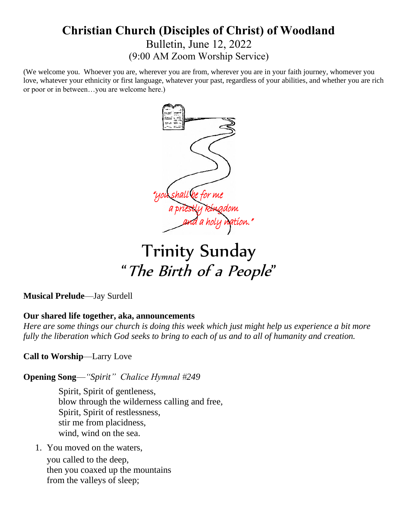### **Christian Church (Disciples of Christ) of Woodland** Bulletin, June 12, 2022 (9:00 AM Zoom Worship Service)

(We welcome you. Whoever you are, wherever you are from, wherever you are in your faith journey, whomever you love, whatever your ethnicity or first language, whatever your past, regardless of your abilities, and whether you are rich or poor or in between…you are welcome here.)



Trinity Sunday "The Birth of a People"

**Musical Prelude**—Jay Surdell

#### **Our shared life together, aka, announcements**

*Here are some things our church is doing this week which just might help us experience a bit more fully the liberation which God seeks to bring to each of us and to all of humanity and creation.*

**Call to Worship**—Larry Love

**Opening Song**—*"Spirit" Chalice Hymnal #249*

Spirit, Spirit of gentleness, blow through the wilderness calling and free, Spirit, Spirit of restlessness, stir me from placidness, wind, wind on the sea. <sup>"</sup><br> **CALC THE VALUATE THE VALUATE CONCIDENT ANCATE CONTINUES THE VALUATION Worship—Larry Love<br>
<b>CALC THE VALUATE VALUATE CONCIDENT**<br> **CALC THE VALUATE VALUATE VALUATE VALUATE VALUATE VALUATE VALUATE VALUATE VALUATE VALUAT** 

1. You moved on the waters, you called to the deep, then you coaxed up the mountains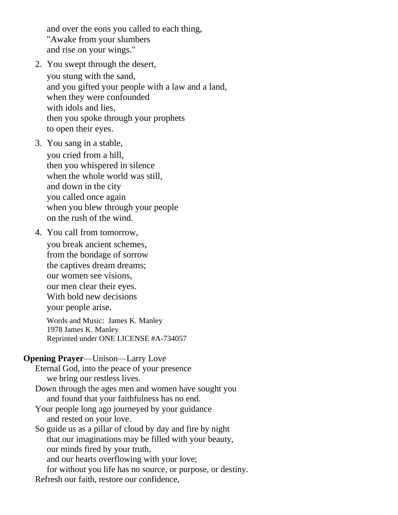and over the eons you called to each thing, "Awake from your slumbers and rise on your wings."

2. You swept through the desert,

you stung with the sand, and you gifted your people with a law and a land, when they were confounded with idols and lies, then you spoke through your prophets to open their eyes.

3. You sang in a stable,

you cried from a hill, then you whispered in silence when the whole world was still. and down in the city you called once again when you blew through your people on the rush of the wind.

4. You call from tomorrow,

you break ancient schemes, from the bondage of sorrow the captives dream dreams; our women see visions, our men clear their eyes. With bold new decisions your people arise.

Words and Music: James K. Manley 1978 James K. Manley Reprinted under ONE LICENSE #A-734057

#### **Opening Prayer**—Unison—Larry Love

Eternal God, into the peace of your presence we bring our restless lives.

Down through the ages men and women have sought you and found that your faithfulness has no end.

Your people long ago journeyed by your guidance and rested on your love.

So guide us as a pillar of cloud by day and fire by night that our imaginations may be filled with your beauty, our minds fired by your truth, and our hearts overflowing with your love; for without you life has no source, or purpose, or destiny.

Refresh our faith, restore our confidence,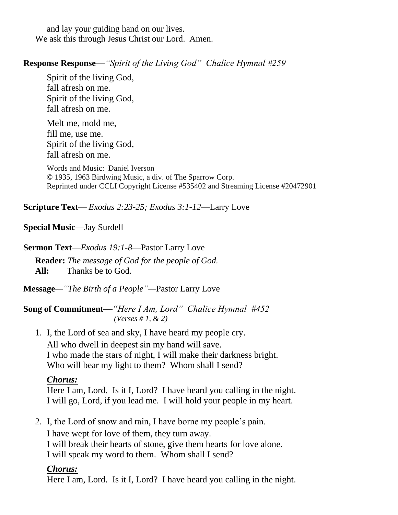and lay your guiding hand on our lives. We ask this through Jesus Christ our Lord. Amen.

#### **Response Response**—*"Spirit of the Living God" Chalice Hymnal #259*

Spirit of the living God, fall afresh on me. Spirit of the living God, fall afresh on me.

Melt me, mold me, fill me, use me. Spirit of the living God, fall afresh on me.

Words and Music: Daniel Iverson © 1935, 1963 Birdwing Music, a div. of The Sparrow Corp. Reprinted under CCLI Copyright License #535402 and Streaming License #20472901

**Scripture Text**— *Exodus 2:23-25; Exodus 3:1-12*—Larry Love

#### **Special Music**—Jay Surdell

**Sermon Text**—*Exodus 19:1-8*—Pastor Larry Love

**Reader:** *The message of God for the people of God.* **All:** Thanks be to God.

**Message***—"The Birth of a People"—*Pastor Larry Love

**Song of Commitment**—*"Here I Am, Lord" Chalice Hymnal #452 (Verses # 1, & 2)*

1. I, the Lord of sea and sky, I have heard my people cry. All who dwell in deepest sin my hand will save. I who made the stars of night, I will make their darkness bright. Who will bear my light to them? Whom shall I send?

#### *Chorus:*

Here I am, Lord. Is it I, Lord? I have heard you calling in the night. I will go, Lord, if you lead me. I will hold your people in my heart.

2. I, the Lord of snow and rain, I have borne my people's pain. I have wept for love of them, they turn away. I will break their hearts of stone, give them hearts for love alone. I will speak my word to them. Whom shall I send?

### *Chorus:*

Here I am, Lord. Is it I, Lord? I have heard you calling in the night.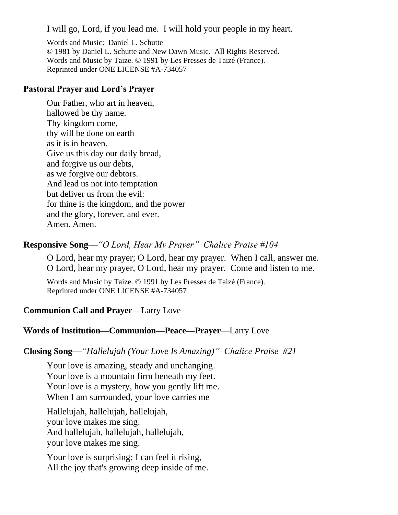I will go, Lord, if you lead me. I will hold your people in my heart.

Words and Music: Daniel L. Schutte © 1981 by Daniel L. Schutte and New Dawn Music. All Rights Reserved. Words and Music by Taize. © 1991 by Les Presses de Taizé (France). Reprinted under ONE LICENSE #A-734057

#### **Pastoral Prayer and Lord's Prayer**

Our Father, who art in heaven, hallowed be thy name. Thy kingdom come, thy will be done on earth as it is in heaven. Give us this day our daily bread, and forgive us our debts, as we forgive our debtors. And lead us not into temptation but deliver us from the evil: for thine is the kingdom, and the power and the glory, forever, and ever. Amen. Amen.

#### **Responsive Song**—*"O Lord, Hear My Prayer" Chalice Praise #104*

O Lord, hear my prayer; O Lord, hear my prayer. When I call, answer me. O Lord, hear my prayer, O Lord, hear my prayer. Come and listen to me.

Words and Music by Taize. © 1991 by Les Presses de Taizé (France). Reprinted under ONE LICENSE #A-734057

#### **Communion Call and Prayer**—Larry Love

#### W**ords of Institution—Communion—Peace—Prayer**—Larry Love

**Closing Song**—*"Hallelujah (Your Love Is Amazing)" Chalice Praise #21*

Your love is amazing, steady and unchanging. Your love is a mountain firm beneath my feet. Your love is a mystery, how you gently lift me. When I am surrounded, your love carries me

Hallelujah, hallelujah, hallelujah, your love makes me sing. And hallelujah, hallelujah, hallelujah, your love makes me sing.

Your love is surprising; I can feel it rising, All the joy that's growing deep inside of me.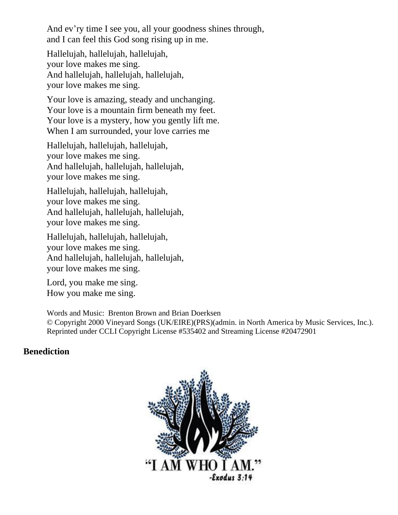And ev'ry time I see you, all your goodness shines through, and I can feel this God song rising up in me.

Hallelujah, hallelujah, hallelujah, your love makes me sing. And hallelujah, hallelujah, hallelujah, your love makes me sing.

Your love is amazing, steady and unchanging. Your love is a mountain firm beneath my feet. Your love is a mystery, how you gently lift me. When I am surrounded, your love carries me

Hallelujah, hallelujah, hallelujah, your love makes me sing. And hallelujah, hallelujah, hallelujah, your love makes me sing.

Hallelujah, hallelujah, hallelujah, your love makes me sing. And hallelujah, hallelujah, hallelujah, your love makes me sing.

Hallelujah, hallelujah, hallelujah, your love makes me sing. And hallelujah, hallelujah, hallelujah, your love makes me sing.

Lord, you make me sing. How you make me sing.

Words and Music: Brenton Brown and Brian Doerksen © Copyright 2000 Vineyard Songs (UK/EIRE)(PRS)(admin. in North America by Music Services, Inc.). Reprinted under CCLI Copyright License #535402 and Streaming License #20472901

#### **Benediction**

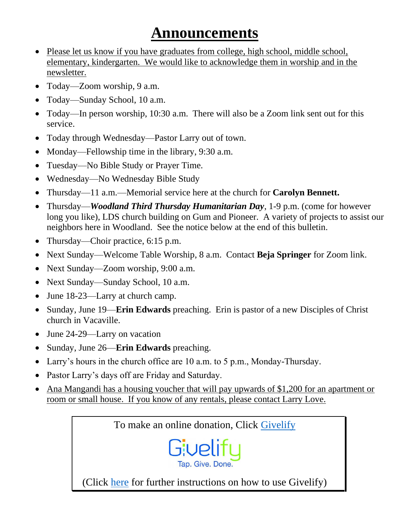# **Announcements**

- Please let us know if you have graduates from college, high school, middle school, elementary, kindergarten. We would like to acknowledge them in worship and in the newsletter.
- Today—Zoom worship, 9 a.m.
- Today—Sunday School, 10 a.m.
- Today—In person worship, 10:30 a.m. There will also be a Zoom link sent out for this service.
- Today through Wednesday—Pastor Larry out of town.
- Monday—Fellowship time in the library, 9:30 a.m.
- Tuesday—No Bible Study or Prayer Time.
- Wednesday—No Wednesday Bible Study
- Thursday—11 a.m.—Memorial service here at the church for **Carolyn Bennett.**
- Thursday—*Woodland Third Thursday Humanitarian Day*, 1-9 p.m. (come for however long you like), LDS church building on Gum and Pioneer. A variety of projects to assist our neighbors here in Woodland. See the notice below at the end of this bulletin.
- Thursday—Choir practice, 6:15 p.m.
- Next Sunday—Welcome Table Worship, 8 a.m. Contact **Beja Springer** for Zoom link.
- Next Sunday—Zoom worship, 9:00 a.m.
- Next Sunday—Sunday School, 10 a.m.
- June 18-23—Larry at church camp.
- Sunday, June 19—**Erin Edwards** preaching. Erin is pastor of a new Disciples of Christ church in Vacaville.
- June 24-29—Larry on vacation
- Sunday, June 26—**Erin Edwards** preaching.
- Larry's hours in the church office are 10 a.m. to 5 p.m., Monday-Thursday.
- Pastor Larry's days off are Friday and Saturday.
- Ana Mangandi has a housing voucher that will pay upwards of \$1,200 for an apartment or room or small house. If you know of any rentals, please contact Larry Love.

To make an online donation, Click [Givelify](https://giv.li/u68mht)



(Click [here](file:///H:/Oak%20Leaflet/GIVELIFY.pdf) for further instructions on how to use Givelify)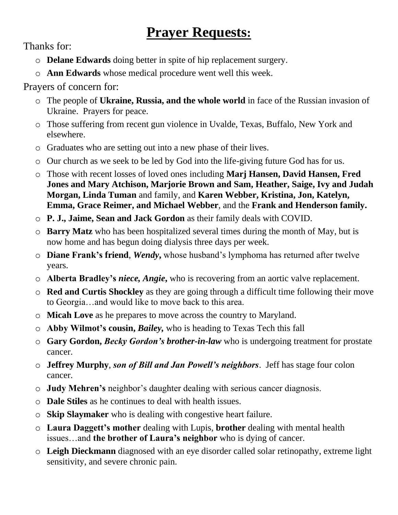# **Prayer Requests:**

Thanks for:

- o **Delane Edwards** doing better in spite of hip replacement surgery.
- o **Ann Edwards** whose medical procedure went well this week.

Prayers of concern for:

- o The people of **Ukraine, Russia, and the whole world** in face of the Russian invasion of Ukraine. Prayers for peace.
- o Those suffering from recent gun violence in Uvalde, Texas, Buffalo, New York and elsewhere.
- o Graduates who are setting out into a new phase of their lives.
- o Our church as we seek to be led by God into the life-giving future God has for us.
- o Those with recent losses of loved ones including **Marj Hansen, David Hansen, Fred Jones and Mary Atchison, Marjorie Brown and Sam, Heather, Saige, Ivy and Judah Morgan, Linda Tuman** and family, and **Karen Webber, Kristina, Jon, Katelyn, Emma, Grace Reimer, and Michael Webber**, and the **Frank and Henderson family.**
- o **P. J., Jaime, Sean and Jack Gordon** as their family deals with COVID.
- o **Barry Matz** who has been hospitalized several times during the month of May, but is now home and has begun doing dialysis three days per week.
- o **Diane Frank's friend**, *Wendy***,** whose husband's lymphoma has returned after twelve years.
- o **Alberta Bradley's** *niece, Angie***,** who is recovering from an aortic valve replacement.
- o **Red and Curtis Shockley** as they are going through a difficult time following their move to Georgia…and would like to move back to this area.
- o **Micah Love** as he prepares to move across the country to Maryland.
- o **Abby Wilmot's cousin,** *Bailey,* who is heading to Texas Tech this fall
- o **Gary Gordon,** *Becky Gordon's brother-in-law* who is undergoing treatment for prostate cancer.
- o **Jeffrey Murphy**, *son of Bill and Jan Powell's neighbors*. Jeff has stage four colon cancer.
- o **Judy Mehren's** neighbor's daughter dealing with serious cancer diagnosis.
- o **Dale Stiles** as he continues to deal with health issues.
- o **Skip Slaymaker** who is dealing with congestive heart failure.
- o **Laura Daggett's mother** dealing with Lupis, **brother** dealing with mental health issues…and **the brother of Laura's neighbor** who is dying of cancer.
- o **Leigh Dieckmann** diagnosed with an eye disorder called solar retinopathy, extreme light sensitivity, and severe chronic pain.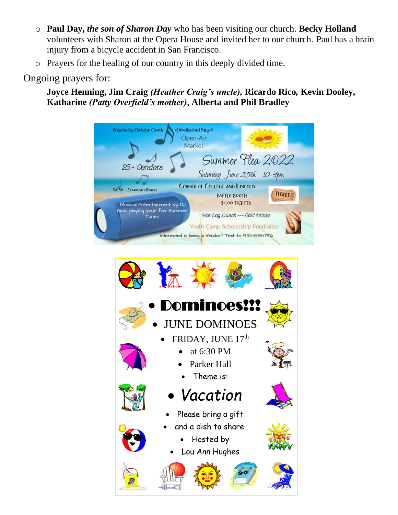- o **Paul Day,** *the son of Sharon Day* who has been visiting our church. **Becky Holland** volunteers with Sharon at the Opera House and invited her to our church. Paul has a brain injury from a bicycle accident in San Francisco.
- o Prayers for the healing of our country in this deeply divided time.

### Ongoing prayers for:

**Joyce Henning, Jim Craig** *(Heather Craig's uncle),* **Ricardo Rico***,* **Kevin Dooley, Katharine** *(Patty Overfield's mother)***, Alberta and Phil Bradley**